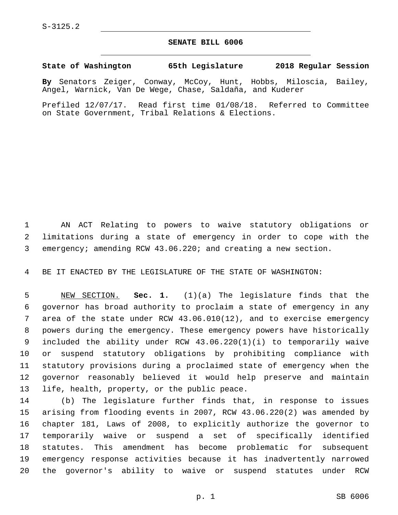## **SENATE BILL 6006**

## **State of Washington 65th Legislature 2018 Regular Session**

**By** Senators Zeiger, Conway, McCoy, Hunt, Hobbs, Miloscia, Bailey, Angel, Warnick, Van De Wege, Chase, Saldaña, and Kuderer

Prefiled 12/07/17. Read first time 01/08/18. Referred to Committee on State Government, Tribal Relations & Elections.

 AN ACT Relating to powers to waive statutory obligations or limitations during a state of emergency in order to cope with the emergency; amending RCW 43.06.220; and creating a new section.

BE IT ENACTED BY THE LEGISLATURE OF THE STATE OF WASHINGTON:

 NEW SECTION. **Sec. 1.** (1)(a) The legislature finds that the governor has broad authority to proclaim a state of emergency in any area of the state under RCW 43.06.010(12), and to exercise emergency powers during the emergency. These emergency powers have historically included the ability under RCW 43.06.220(1)(i) to temporarily waive or suspend statutory obligations by prohibiting compliance with statutory provisions during a proclaimed state of emergency when the governor reasonably believed it would help preserve and maintain life, health, property, or the public peace.

 (b) The legislature further finds that, in response to issues arising from flooding events in 2007, RCW 43.06.220(2) was amended by chapter 181, Laws of 2008, to explicitly authorize the governor to temporarily waive or suspend a set of specifically identified statutes. This amendment has become problematic for subsequent emergency response activities because it has inadvertently narrowed the governor's ability to waive or suspend statutes under RCW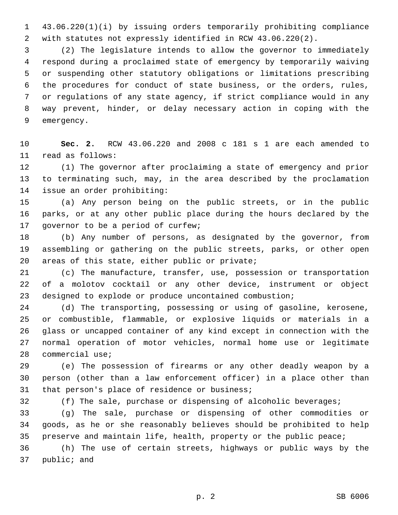43.06.220(1)(i) by issuing orders temporarily prohibiting compliance with statutes not expressly identified in RCW 43.06.220(2).

 (2) The legislature intends to allow the governor to immediately respond during a proclaimed state of emergency by temporarily waiving or suspending other statutory obligations or limitations prescribing the procedures for conduct of state business, or the orders, rules, or regulations of any state agency, if strict compliance would in any way prevent, hinder, or delay necessary action in coping with the 9 emergency.

 **Sec. 2.** RCW 43.06.220 and 2008 c 181 s 1 are each amended to 11 read as follows:

 (1) The governor after proclaiming a state of emergency and prior to terminating such, may, in the area described by the proclamation 14 issue an order prohibiting:

 (a) Any person being on the public streets, or in the public parks, or at any other public place during the hours declared by the 17 governor to be a period of curfew;

 (b) Any number of persons, as designated by the governor, from assembling or gathering on the public streets, parks, or other open 20 areas of this state, either public or private;

 (c) The manufacture, transfer, use, possession or transportation of a molotov cocktail or any other device, instrument or object designed to explode or produce uncontained combustion;

 (d) The transporting, possessing or using of gasoline, kerosene, or combustible, flammable, or explosive liquids or materials in a glass or uncapped container of any kind except in connection with the normal operation of motor vehicles, normal home use or legitimate 28 commercial use;

 (e) The possession of firearms or any other deadly weapon by a person (other than a law enforcement officer) in a place other than 31 that person's place of residence or business;

(f) The sale, purchase or dispensing of alcoholic beverages;

 (g) The sale, purchase or dispensing of other commodities or goods, as he or she reasonably believes should be prohibited to help 35 preserve and maintain life, health, property or the public peace;

 (h) The use of certain streets, highways or public ways by the 37 public; and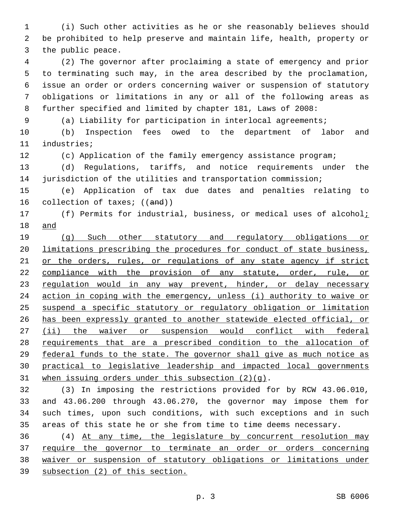(i) Such other activities as he or she reasonably believes should be prohibited to help preserve and maintain life, health, property or 3 the public peace.

 (2) The governor after proclaiming a state of emergency and prior to terminating such may, in the area described by the proclamation, issue an order or orders concerning waiver or suspension of statutory obligations or limitations in any or all of the following areas as further specified and limited by chapter 181, Laws of 2008:

(a) Liability for participation in interlocal agreements;

 (b) Inspection fees owed to the department of labor and 11 industries;

(c) Application of the family emergency assistance program;

 (d) Regulations, tariffs, and notice requirements under the jurisdiction of the utilities and transportation commission;

 (e) Application of tax due dates and penalties relating to 16 collection of taxes; ((and))

17 (f) Permits for industrial, business, or medical uses of alcohol<sub>i</sub> and

 (g) Such other statutory and regulatory obligations or limitations prescribing the procedures for conduct of state business, 21 or the orders, rules, or regulations of any state agency if strict 22 compliance with the provision of any statute, order, rule, or 23 regulation would in any way prevent, hinder, or delay necessary action in coping with the emergency, unless (i) authority to waive or suspend a specific statutory or regulatory obligation or limitation has been expressly granted to another statewide elected official, or 27 (ii) the waiver or suspension would conflict with federal requirements that are a prescribed condition to the allocation of federal funds to the state. The governor shall give as much notice as practical to legislative leadership and impacted local governments 31 when issuing orders under this subsection  $(2)(q)$ .

 (3) In imposing the restrictions provided for by RCW 43.06.010, and 43.06.200 through 43.06.270, the governor may impose them for such times, upon such conditions, with such exceptions and in such areas of this state he or she from time to time deems necessary.

 (4) At any time, the legislature by concurrent resolution may require the governor to terminate an order or orders concerning waiver or suspension of statutory obligations or limitations under subsection (2) of this section.